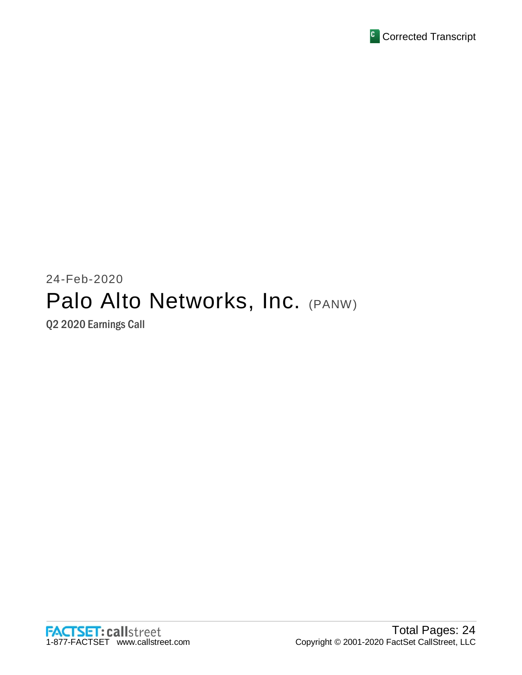

# 24-Feb-2020 Palo Alto Networks, Inc. (PANW)

Q2 2020 Earnings Call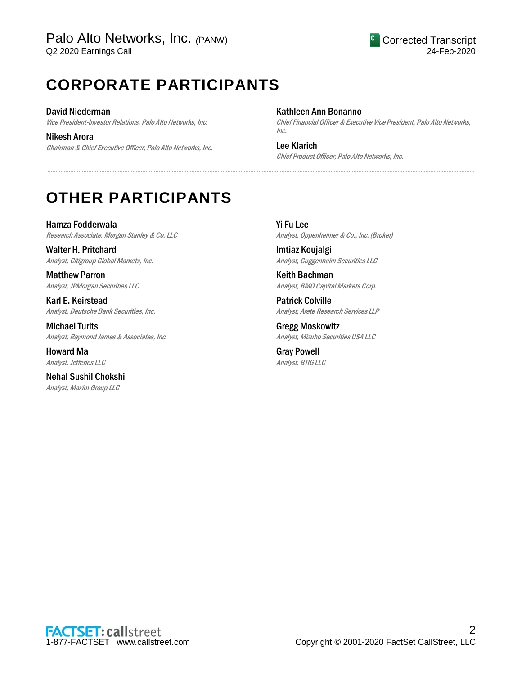## **CORPORATE PARTICIPANTS**

David Niederman Vice President-Investor Relations, Palo Alto Networks, Inc.

Nikesh Arora Chairman & Chief Executive Officer, Palo Alto Networks, Inc.

### Kathleen Ann Bonanno

.....................................................................................................................................................................................................................................................................

Chief Financial Officer & Executive Vice President, Palo Alto Networks, Inc.

Lee Klarich Chief Product Officer, Palo Alto Networks, Inc.

## **OTHER PARTICIPANTS**

Hamza Fodderwala Research Associate, Morgan Stanley & Co. LLC

Walter H. Pritchard Analyst, Citigroup Global Markets, Inc.

Matthew Parron Analyst, JPMorgan Securities LLC

Karl E. Keirstead Analyst, Deutsche Bank Securities, Inc.

Michael Turits Analyst, Raymond James & Associates, Inc.

Howard Ma Analyst, Jefferies LLC

Nehal Sushil Chokshi Analyst, Maxim Group LLC

Yi Fu Lee Analyst, Oppenheimer & Co., Inc. (Broker)

Imtiaz Koujalgi Analyst, Guggenheim Securities LLC

Keith Bachman Analyst, BMO Capital Markets Corp.

Patrick Colville Analyst, Arete Research Services LLP

Gregg Moskowitz Analyst, Mizuho Securities USA LLC

Gray Powell Analyst, BTIG LLC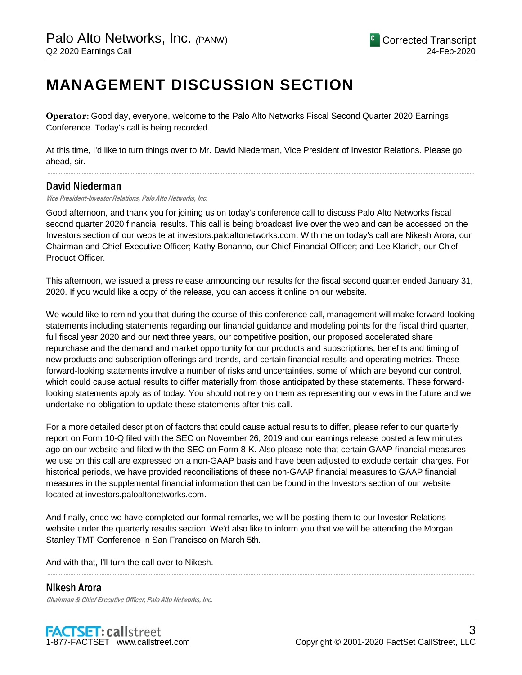## **MANAGEMENT DISCUSSION SECTION**

**Operator**: Good day, everyone, welcome to the Palo Alto Networks Fiscal Second Quarter 2020 Earnings Conference. Today's call is being recorded.

At this time, I'd like to turn things over to Mr. David Niederman, Vice President of Investor Relations. Please go ahead, sir.

.....................................................................................................................................................................................................................................................................

## David Niederman

Vice President-Investor Relations, Palo Alto Networks, Inc.

Good afternoon, and thank you for joining us on today's conference call to discuss Palo Alto Networks fiscal second quarter 2020 financial results. This call is being broadcast live over the web and can be accessed on the Investors section of our website at investors.paloaltonetworks.com. With me on today's call are Nikesh Arora, our Chairman and Chief Executive Officer; Kathy Bonanno, our Chief Financial Officer; and Lee Klarich, our Chief Product Officer.

This afternoon, we issued a press release announcing our results for the fiscal second quarter ended January 31, 2020. If you would like a copy of the release, you can access it online on our website.

We would like to remind you that during the course of this conference call, management will make forward-looking statements including statements regarding our financial guidance and modeling points for the fiscal third quarter, full fiscal year 2020 and our next three years, our competitive position, our proposed accelerated share repurchase and the demand and market opportunity for our products and subscriptions, benefits and timing of new products and subscription offerings and trends, and certain financial results and operating metrics. These forward-looking statements involve a number of risks and uncertainties, some of which are beyond our control, which could cause actual results to differ materially from those anticipated by these statements. These forwardlooking statements apply as of today. You should not rely on them as representing our views in the future and we undertake no obligation to update these statements after this call.

For a more detailed description of factors that could cause actual results to differ, please refer to our quarterly report on Form 10-Q filed with the SEC on November 26, 2019 and our earnings release posted a few minutes ago on our website and filed with the SEC on Form 8-K. Also please note that certain GAAP financial measures we use on this call are expressed on a non-GAAP basis and have been adjusted to exclude certain charges. For historical periods, we have provided reconciliations of these non-GAAP financial measures to GAAP financial measures in the supplemental financial information that can be found in the Investors section of our website located at investors.paloaltonetworks.com.

And finally, once we have completed our formal remarks, we will be posting them to our Investor Relations website under the quarterly results section. We'd also like to inform you that we will be attending the Morgan Stanley TMT Conference in San Francisco on March 5th.

.....................................................................................................................................................................................................................................................................

And with that, I'll turn the call over to Nikesh.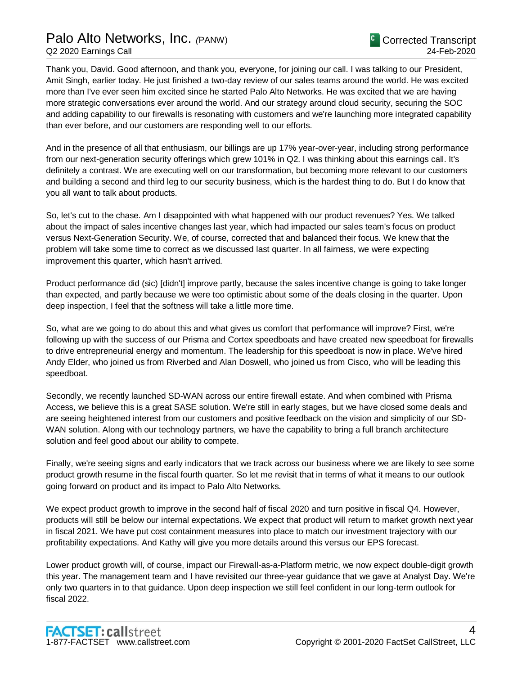## Palo Alto Networks, Inc. *(*PANW)

Thank you, David. Good afternoon, and thank you, everyone, for joining our call. I was talking to our President, Amit Singh, earlier today. He just finished a two-day review of our sales teams around the world. He was excited more than I've ever seen him excited since he started Palo Alto Networks. He was excited that we are having more strategic conversations ever around the world. And our strategy around cloud security, securing the SOC and adding capability to our firewalls is resonating with customers and we're launching more integrated capability than ever before, and our customers are responding well to our efforts.

And in the presence of all that enthusiasm, our billings are up 17% year-over-year, including strong performance from our next-generation security offerings which grew 101% in Q2. I was thinking about this earnings call. It's definitely a contrast. We are executing well on our transformation, but becoming more relevant to our customers and building a second and third leg to our security business, which is the hardest thing to do. But I do know that you all want to talk about products.

So, let's cut to the chase. Am I disappointed with what happened with our product revenues? Yes. We talked about the impact of sales incentive changes last year, which had impacted our sales team's focus on product versus Next-Generation Security. We, of course, corrected that and balanced their focus. We knew that the problem will take some time to correct as we discussed last quarter. In all fairness, we were expecting improvement this quarter, which hasn't arrived.

Product performance did (sic) [didn't] improve partly, because the sales incentive change is going to take longer than expected, and partly because we were too optimistic about some of the deals closing in the quarter. Upon deep inspection, I feel that the softness will take a little more time.

So, what are we going to do about this and what gives us comfort that performance will improve? First, we're following up with the success of our Prisma and Cortex speedboats and have created new speedboat for firewalls to drive entrepreneurial energy and momentum. The leadership for this speedboat is now in place. We've hired Andy Elder, who joined us from Riverbed and Alan Doswell, who joined us from Cisco, who will be leading this speedboat.

Secondly, we recently launched SD-WAN across our entire firewall estate. And when combined with Prisma Access, we believe this is a great SASE solution. We're still in early stages, but we have closed some deals and are seeing heightened interest from our customers and positive feedback on the vision and simplicity of our SD-WAN solution. Along with our technology partners, we have the capability to bring a full branch architecture solution and feel good about our ability to compete.

Finally, we're seeing signs and early indicators that we track across our business where we are likely to see some product growth resume in the fiscal fourth quarter. So let me revisit that in terms of what it means to our outlook going forward on product and its impact to Palo Alto Networks.

We expect product growth to improve in the second half of fiscal 2020 and turn positive in fiscal Q4. However, products will still be below our internal expectations. We expect that product will return to market growth next year in fiscal 2021. We have put cost containment measures into place to match our investment trajectory with our profitability expectations. And Kathy will give you more details around this versus our EPS forecast.

Lower product growth will, of course, impact our Firewall-as-a-Platform metric, we now expect double-digit growth this year. The management team and I have revisited our three-year guidance that we gave at Analyst Day. We're only two quarters in to that guidance. Upon deep inspection we still feel confident in our long-term outlook for fiscal 2022.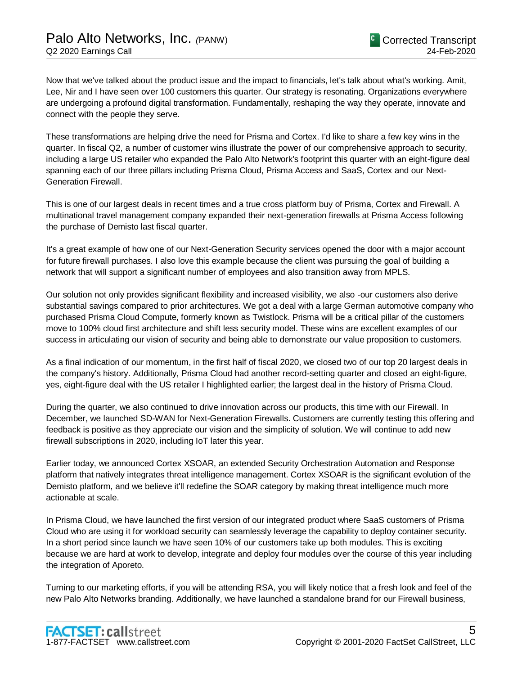Now that we've talked about the product issue and the impact to financials, let's talk about what's working. Amit, Lee, Nir and I have seen over 100 customers this quarter. Our strategy is resonating. Organizations everywhere are undergoing a profound digital transformation. Fundamentally, reshaping the way they operate, innovate and connect with the people they serve.

These transformations are helping drive the need for Prisma and Cortex. I'd like to share a few key wins in the quarter. In fiscal Q2, a number of customer wins illustrate the power of our comprehensive approach to security, including a large US retailer who expanded the Palo Alto Network's footprint this quarter with an eight-figure deal spanning each of our three pillars including Prisma Cloud, Prisma Access and SaaS, Cortex and our Next-Generation Firewall.

This is one of our largest deals in recent times and a true cross platform buy of Prisma, Cortex and Firewall. A multinational travel management company expanded their next-generation firewalls at Prisma Access following the purchase of Demisto last fiscal quarter.

It's a great example of how one of our Next-Generation Security services opened the door with a major account for future firewall purchases. I also love this example because the client was pursuing the goal of building a network that will support a significant number of employees and also transition away from MPLS.

Our solution not only provides significant flexibility and increased visibility, we also -our customers also derive substantial savings compared to prior architectures. We got a deal with a large German automotive company who purchased Prisma Cloud Compute, formerly known as Twistlock. Prisma will be a critical pillar of the customers move to 100% cloud first architecture and shift less security model. These wins are excellent examples of our success in articulating our vision of security and being able to demonstrate our value proposition to customers.

As a final indication of our momentum, in the first half of fiscal 2020, we closed two of our top 20 largest deals in the company's history. Additionally, Prisma Cloud had another record-setting quarter and closed an eight-figure, yes, eight-figure deal with the US retailer I highlighted earlier; the largest deal in the history of Prisma Cloud.

During the quarter, we also continued to drive innovation across our products, this time with our Firewall. In December, we launched SD-WAN for Next-Generation Firewalls. Customers are currently testing this offering and feedback is positive as they appreciate our vision and the simplicity of solution. We will continue to add new firewall subscriptions in 2020, including IoT later this year.

Earlier today, we announced Cortex XSOAR, an extended Security Orchestration Automation and Response platform that natively integrates threat intelligence management. Cortex XSOAR is the significant evolution of the Demisto platform, and we believe it'll redefine the SOAR category by making threat intelligence much more actionable at scale.

In Prisma Cloud, we have launched the first version of our integrated product where SaaS customers of Prisma Cloud who are using it for workload security can seamlessly leverage the capability to deploy container security. In a short period since launch we have seen 10% of our customers take up both modules. This is exciting because we are hard at work to develop, integrate and deploy four modules over the course of this year including the integration of Aporeto.

Turning to our marketing efforts, if you will be attending RSA, you will likely notice that a fresh look and feel of the new Palo Alto Networks branding. Additionally, we have launched a standalone brand for our Firewall business,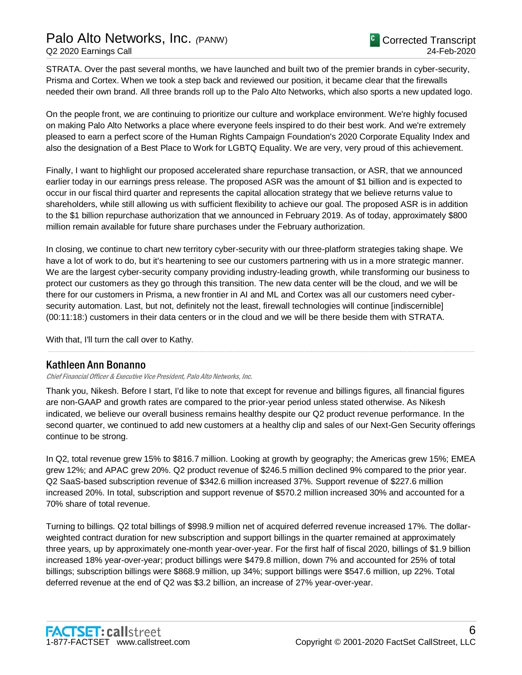## Palo Alto Networks, Inc. *(*PANW) Q2 2020 Earnings Call

STRATA. Over the past several months, we have launched and built two of the premier brands in cyber-security, Prisma and Cortex. When we took a step back and reviewed our position, it became clear that the firewalls needed their own brand. All three brands roll up to the Palo Alto Networks, which also sports a new updated logo.

On the people front, we are continuing to prioritize our culture and workplace environment. We're highly focused on making Palo Alto Networks a place where everyone feels inspired to do their best work. And we're extremely pleased to earn a perfect score of the Human Rights Campaign Foundation's 2020 Corporate Equality Index and also the designation of a Best Place to Work for LGBTQ Equality. We are very, very proud of this achievement.

Finally, I want to highlight our proposed accelerated share repurchase transaction, or ASR, that we announced earlier today in our earnings press release. The proposed ASR was the amount of \$1 billion and is expected to occur in our fiscal third quarter and represents the capital allocation strategy that we believe returns value to shareholders, while still allowing us with sufficient flexibility to achieve our goal. The proposed ASR is in addition to the \$1 billion repurchase authorization that we announced in February 2019. As of today, approximately \$800 million remain available for future share purchases under the February authorization.

In closing, we continue to chart new territory cyber-security with our three-platform strategies taking shape. We have a lot of work to do, but it's heartening to see our customers partnering with us in a more strategic manner. We are the largest cyber-security company providing industry-leading growth, while transforming our business to protect our customers as they go through this transition. The new data center will be the cloud, and we will be there for our customers in Prisma, a new frontier in AI and ML and Cortex was all our customers need cybersecurity automation. Last, but not, definitely not the least, firewall technologies will continue [indiscernible] (00:11:18:) customers in their data centers or in the cloud and we will be there beside them with STRATA.

With that, I'll turn the call over to Kathy.

## Kathleen Ann Bonanno

Chief Financial Officer & Executive Vice President, Palo Alto Networks, Inc.

Thank you, Nikesh. Before I start, I'd like to note that except for revenue and billings figures, all financial figures are non-GAAP and growth rates are compared to the prior-year period unless stated otherwise. As Nikesh indicated, we believe our overall business remains healthy despite our Q2 product revenue performance. In the second quarter, we continued to add new customers at a healthy clip and sales of our Next-Gen Security offerings continue to be strong.

.....................................................................................................................................................................................................................................................................

In Q2, total revenue grew 15% to \$816.7 million. Looking at growth by geography; the Americas grew 15%; EMEA grew 12%; and APAC grew 20%. Q2 product revenue of \$246.5 million declined 9% compared to the prior year. Q2 SaaS-based subscription revenue of \$342.6 million increased 37%. Support revenue of \$227.6 million increased 20%. In total, subscription and support revenue of \$570.2 million increased 30% and accounted for a 70% share of total revenue.

Turning to billings. Q2 total billings of \$998.9 million net of acquired deferred revenue increased 17%. The dollarweighted contract duration for new subscription and support billings in the quarter remained at approximately three years, up by approximately one-month year-over-year. For the first half of fiscal 2020, billings of \$1.9 billion increased 18% year-over-year; product billings were \$479.8 million, down 7% and accounted for 25% of total billings; subscription billings were \$868.9 million, up 34%; support billings were \$547.6 million, up 22%. Total deferred revenue at the end of Q2 was \$3.2 billion, an increase of 27% year-over-year.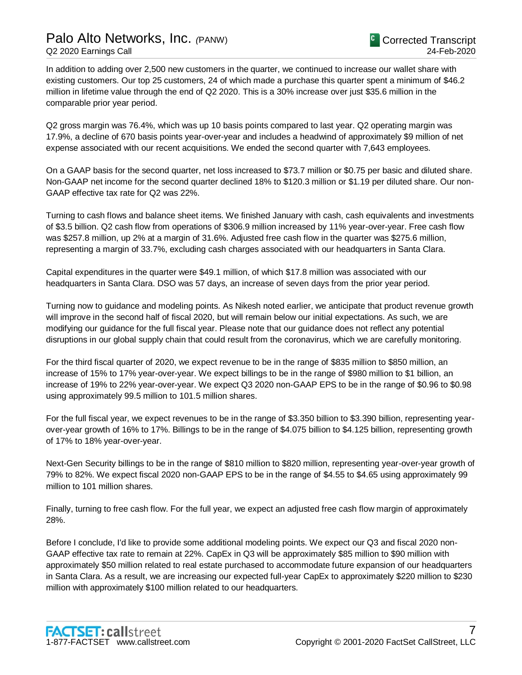## Palo Alto Networks, Inc. *(*PANW) Q2 2020 Earnings Call

In addition to adding over 2,500 new customers in the quarter, we continued to increase our wallet share with existing customers. Our top 25 customers, 24 of which made a purchase this quarter spent a minimum of \$46.2 million in lifetime value through the end of Q2 2020. This is a 30% increase over just \$35.6 million in the comparable prior year period.

Q2 gross margin was 76.4%, which was up 10 basis points compared to last year. Q2 operating margin was 17.9%, a decline of 670 basis points year-over-year and includes a headwind of approximately \$9 million of net expense associated with our recent acquisitions. We ended the second quarter with 7,643 employees.

On a GAAP basis for the second quarter, net loss increased to \$73.7 million or \$0.75 per basic and diluted share. Non-GAAP net income for the second quarter declined 18% to \$120.3 million or \$1.19 per diluted share. Our non-GAAP effective tax rate for Q2 was 22%.

Turning to cash flows and balance sheet items. We finished January with cash, cash equivalents and investments of \$3.5 billion. Q2 cash flow from operations of \$306.9 million increased by 11% year-over-year. Free cash flow was \$257.8 million, up 2% at a margin of 31.6%. Adjusted free cash flow in the quarter was \$275.6 million, representing a margin of 33.7%, excluding cash charges associated with our headquarters in Santa Clara.

Capital expenditures in the quarter were \$49.1 million, of which \$17.8 million was associated with our headquarters in Santa Clara. DSO was 57 days, an increase of seven days from the prior year period.

Turning now to guidance and modeling points. As Nikesh noted earlier, we anticipate that product revenue growth will improve in the second half of fiscal 2020, but will remain below our initial expectations. As such, we are modifying our guidance for the full fiscal year. Please note that our guidance does not reflect any potential disruptions in our global supply chain that could result from the coronavirus, which we are carefully monitoring.

For the third fiscal quarter of 2020, we expect revenue to be in the range of \$835 million to \$850 million, an increase of 15% to 17% year-over-year. We expect billings to be in the range of \$980 million to \$1 billion, an increase of 19% to 22% year-over-year. We expect Q3 2020 non-GAAP EPS to be in the range of \$0.96 to \$0.98 using approximately 99.5 million to 101.5 million shares.

For the full fiscal year, we expect revenues to be in the range of \$3.350 billion to \$3.390 billion, representing yearover-year growth of 16% to 17%. Billings to be in the range of \$4.075 billion to \$4.125 billion, representing growth of 17% to 18% year-over-year.

Next-Gen Security billings to be in the range of \$810 million to \$820 million, representing year-over-year growth of 79% to 82%. We expect fiscal 2020 non-GAAP EPS to be in the range of \$4.55 to \$4.65 using approximately 99 million to 101 million shares.

Finally, turning to free cash flow. For the full year, we expect an adjusted free cash flow margin of approximately 28%.

Before I conclude, I'd like to provide some additional modeling points. We expect our Q3 and fiscal 2020 non-GAAP effective tax rate to remain at 22%. CapEx in Q3 will be approximately \$85 million to \$90 million with approximately \$50 million related to real estate purchased to accommodate future expansion of our headquarters in Santa Clara. As a result, we are increasing our expected full-year CapEx to approximately \$220 million to \$230 million with approximately \$100 million related to our headquarters.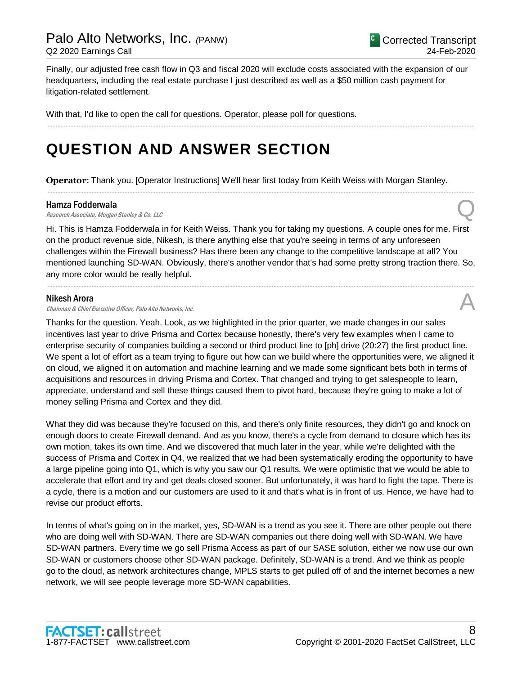Finally, our adjusted free cash flow in Q3 and fiscal 2020 will exclude costs associated with the expansion of our headquarters, including the real estate purchase I just described as well as a \$50 million cash payment for litigation-related settlement.

.....................................................................................................................................................................................................................................................................

With that, I'd like to open the call for questions. Operator, please poll for questions.

## **QUESTION AND ANSWER SECTION**

**Operator**: Thank you. [Operator Instructions] We'll hear first today from Keith Weiss with Morgan Stanley.

### Hamza Fodderwala

**Hamza Fodderwala**<br>Research Associate, Morgan Stanley & Co. LLC Quarter Compared to the Compared of the Compared Compared Tensors

Hi. This is Hamza Fodderwala in for Keith Weiss. Thank you for taking my questions. A couple ones for me. First on the product revenue side, Nikesh, is there anything else that you're seeing in terms of any unforeseen challenges within the Firewall business? Has there been any change to the competitive landscape at all? You mentioned launching SD-WAN. Obviously, there's another vendor that's had some pretty strong traction there. So, any more color would be really helpful.

.....................................................................................................................................................................................................................................................................

.....................................................................................................................................................................................................................................................................

### Nikesh Arora

Chairman & Chief Executive Officer, Palo Alto Networks, Inc.

Thanks for the question. Yeah. Look, as we highlighted in the prior quarter, we made changes in our sales incentives last year to drive Prisma and Cortex because honestly, there's very few examples when I came to enterprise security of companies building a second or third product line to [ph] drive (20:27) the first product line. We spent a lot of effort as a team trying to figure out how can we build where the opportunities were, we aligned it on cloud, we aligned it on automation and machine learning and we made some significant bets both in terms of acquisitions and resources in driving Prisma and Cortex. That changed and trying to get salespeople to learn, appreciate, understand and sell these things caused them to pivot hard, because they're going to make a lot of money selling Prisma and Cortex and they did.

What they did was because they're focused on this, and there's only finite resources, they didn't go and knock on enough doors to create Firewall demand. And as you know, there's a cycle from demand to closure which has its own motion, takes its own time. And we discovered that much later in the year, while we're delighted with the success of Prisma and Cortex in Q4, we realized that we had been systematically eroding the opportunity to have a large pipeline going into Q1, which is why you saw our Q1 results. We were optimistic that we would be able to accelerate that effort and try and get deals closed sooner. But unfortunately, it was hard to fight the tape. There is a cycle, there is a motion and our customers are used to it and that's what is in front of us. Hence, we have had to revise our product efforts.

In terms of what's going on in the market, yes, SD-WAN is a trend as you see it. There are other people out there who are doing well with SD-WAN. There are SD-WAN companies out there doing well with SD-WAN. We have SD-WAN partners. Every time we go sell Prisma Access as part of our SASE solution, either we now use our own SD-WAN or customers choose other SD-WAN package. Definitely, SD-WAN is a trend. And we think as people go to the cloud, as network architectures change, MPLS starts to get pulled off of and the internet becomes a new network, we will see people leverage more SD-WAN capabilities.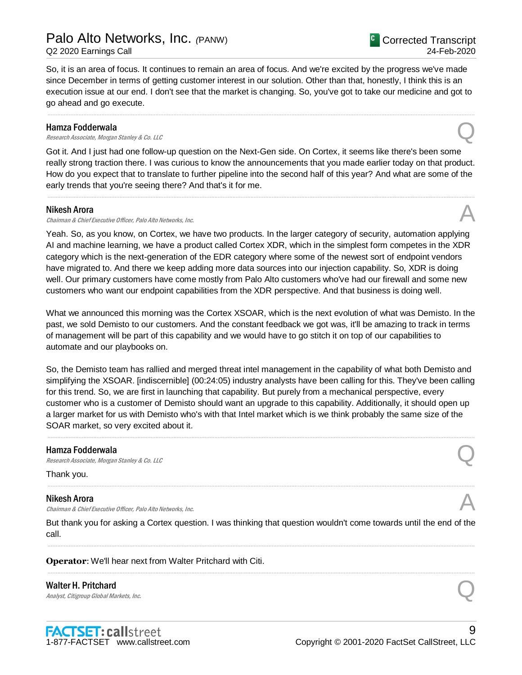So, it is an area of focus. It continues to remain an area of focus. And we're excited by the progress we've made since December in terms of getting customer interest in our solution. Other than that, honestly, I think this is an execution issue at our end. I don't see that the market is changing. So, you've got to take our medicine and got to go ahead and go execute.

.....................................................................................................................................................................................................................................................................

#### Hamza Fodderwala

**Hamza Fodderwala**<br>Research Associate, Morgan Stanley & Co. LLC Quarter Compared to the Compared of the Compared Compared Tensors

Got it. And I just had one follow-up question on the Next-Gen side. On Cortex, it seems like there's been some really strong traction there. I was curious to know the announcements that you made earlier today on that product. How do you expect that to translate to further pipeline into the second half of this year? And what are some of the early trends that you're seeing there? And that's it for me.

.....................................................................................................................................................................................................................................................................

#### Nikesh Arora

Chairman & Chief Executive Officer, Palo Alto Networks, Inc.

Yeah. So, as you know, on Cortex, we have two products. In the larger category of security, automation applying AI and machine learning, we have a product called Cortex XDR, which in the simplest form competes in the XDR category which is the next-generation of the EDR category where some of the newest sort of endpoint vendors have migrated to. And there we keep adding more data sources into our injection capability. So, XDR is doing well. Our primary customers have come mostly from Palo Alto customers who've had our firewall and some new customers who want our endpoint capabilities from the XDR perspective. And that business is doing well.

What we announced this morning was the Cortex XSOAR, which is the next evolution of what was Demisto. In the past, we sold Demisto to our customers. And the constant feedback we got was, it'll be amazing to track in terms of management will be part of this capability and we would have to go stitch it on top of our capabilities to automate and our playbooks on.

So, the Demisto team has rallied and merged threat intel management in the capability of what both Demisto and simplifying the XSOAR. [indiscernible] (00:24:05) industry analysts have been calling for this. They've been calling for this trend. So, we are first in launching that capability. But purely from a mechanical perspective, every customer who is a customer of Demisto should want an upgrade to this capability. Additionally, it should open up a larger market for us with Demisto who's with that Intel market which is we think probably the same size of the SOAR market, so very excited about it.

.....................................................................................................................................................................................................................................................................

#### Hamza Fodderwala

**Hamza Fodderwala**<br>Research Associate, Morgan Stanley & Co. LLC Quarter Compared to the Compared of the Compared Compared to the Co

Thank you.

#### Nikesh Arora

**Nikesh Arora**<br>Chairman & Chief Executive Officer, Palo Alto Networks, Inc.  $\mathcal{A}$ 

But thank you for asking a Cortex question. I was thinking that question wouldn't come towards until the end of the call. .....................................................................................................................................................................................................................................................................

.....................................................................................................................................................................................................................................................................

.....................................................................................................................................................................................................................................................................

**Operator**: We'll hear next from Walter Pritchard with Citi.

Walter H. Pritchard Walter H. Pritchard  $\bigotimes$ <br>Analyst, Citigroup Global Markets, Inc.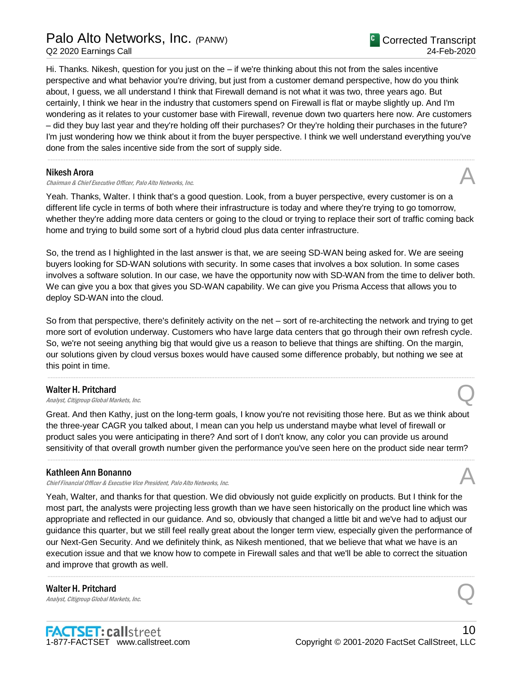## Palo Alto Networks, Inc. *(*PANW)

Q2 2020 Earnings Call

Hi. Thanks. Nikesh, question for you just on the – if we're thinking about this not from the sales incentive perspective and what behavior you're driving, but just from a customer demand perspective, how do you think about, I guess, we all understand I think that Firewall demand is not what it was two, three years ago. But certainly, I think we hear in the industry that customers spend on Firewall is flat or maybe slightly up. And I'm wondering as it relates to your customer base with Firewall, revenue down two quarters here now. Are customers – did they buy last year and they're holding off their purchases? Or they're holding their purchases in the future? I'm just wondering how we think about it from the buyer perspective. I think we well understand everything you've done from the sales incentive side from the sort of supply side.

.....................................................................................................................................................................................................................................................................

### Nikesh Arora

Chairman & Chief Executive Officer, Palo Alto Networks, Inc.

Yeah. Thanks, Walter. I think that's a good question. Look, from a buyer perspective, every customer is on a different life cycle in terms of both where their infrastructure is today and where they're trying to go tomorrow, whether they're adding more data centers or going to the cloud or trying to replace their sort of traffic coming back home and trying to build some sort of a hybrid cloud plus data center infrastructure.

So, the trend as I highlighted in the last answer is that, we are seeing SD-WAN being asked for. We are seeing buyers looking for SD-WAN solutions with security. In some cases that involves a box solution. In some cases involves a software solution. In our case, we have the opportunity now with SD-WAN from the time to deliver both. We can give you a box that gives you SD-WAN capability. We can give you Prisma Access that allows you to deploy SD-WAN into the cloud.

So from that perspective, there's definitely activity on the net – sort of re-architecting the network and trying to get more sort of evolution underway. Customers who have large data centers that go through their own refresh cycle. So, we're not seeing anything big that would give us a reason to believe that things are shifting. On the margin, our solutions given by cloud versus boxes would have caused some difference probably, but nothing we see at this point in time.

.....................................................................................................................................................................................................................................................................

## Walter H. Pritchard

Walter H. Pritchard  $\bigotimes$ <br>Analyst, Citigroup Global Markets, Inc.

Great. And then Kathy, just on the long-term goals, I know you're not revisiting those here. But as we think about the three-year CAGR you talked about, I mean can you help us understand maybe what level of firewall or product sales you were anticipating in there? And sort of I don't know, any color you can provide us around sensitivity of that overall growth number given the performance you've seen here on the product side near term?

.....................................................................................................................................................................................................................................................................

## Kathleen Ann Bonanno

Chief Financial Officer & Executive Vice President, Palo Alto Networks, Inc.

Yeah, Walter, and thanks for that question. We did obviously not guide explicitly on products. But I think for the most part, the analysts were projecting less growth than we have seen historically on the product line which was appropriate and reflected in our guidance. And so, obviously that changed a little bit and we've had to adjust our guidance this quarter, but we still feel really great about the longer term view, especially given the performance of our Next-Gen Security. And we definitely think, as Nikesh mentioned, that we believe that what we have is an execution issue and that we know how to compete in Firewall sales and that we'll be able to correct the situation and improve that growth as well.

.....................................................................................................................................................................................................................................................................

Walter H. Pritchard Walter H. Pritchard  $\bigotimes$ <br>Analyst, Citigroup Global Markets, Inc.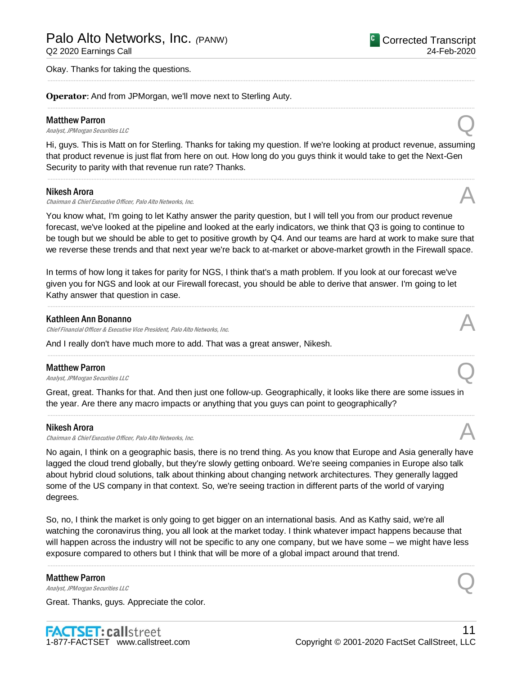Q2 2020 Earnings Call

Okay. Thanks for taking the questions.

**Operator**: And from JPMorgan, we'll move next to Sterling Auty.

### Matthew Parron

**Matthew Parron**<br>Analyst, JPMorgan Securities LLC

Hi, guys. This is Matt on for Sterling. Thanks for taking my question. If we're looking at product revenue, assuming that product revenue is just flat from here on out. How long do you guys think it would take to get the Next-Gen Security to parity with that revenue run rate? Thanks.

.....................................................................................................................................................................................................................................................................

.....................................................................................................................................................................................................................................................................

.....................................................................................................................................................................................................................................................................

## Nikesh Arora

Chairman & Chief Executive Officer, Palo Alto Networks, Inc.

You know what, I'm going to let Kathy answer the parity question, but I will tell you from our product revenue forecast, we've looked at the pipeline and looked at the early indicators, we think that Q3 is going to continue to be tough but we should be able to get to positive growth by Q4. And our teams are hard at work to make sure that we reverse these trends and that next year we're back to at-market or above-market growth in the Firewall space.

In terms of how long it takes for parity for NGS, I think that's a math problem. If you look at our forecast we've given you for NGS and look at our Firewall forecast, you should be able to derive that answer. I'm going to let Kathy answer that question in case.

.....................................................................................................................................................................................................................................................................

.....................................................................................................................................................................................................................................................................

## Kathleen Ann Bonanno

Chief Financial Officer & Executive Vice President, Palo Alto Networks, Inc.

And I really don't have much more to add. That was a great answer, Nikesh.

#### Matthew Parron

**Matthew Parron**<br>Analyst, JPMorgan Securities LLC

Great, great. Thanks for that. And then just one follow-up. Geographically, it looks like there are some issues in the year. Are there any macro impacts or anything that you guys can point to geographically?

.....................................................................................................................................................................................................................................................................

## Nikesh Arora

Chairman & Chief Executive Officer, Palo Alto Networks, Inc.

No again, I think on a geographic basis, there is no trend thing. As you know that Europe and Asia generally have lagged the cloud trend globally, but they're slowly getting onboard. We're seeing companies in Europe also talk about hybrid cloud solutions, talk about thinking about changing network architectures. They generally lagged some of the US company in that context. So, we're seeing traction in different parts of the world of varying degrees.

So, no, I think the market is only going to get bigger on an international basis. And as Kathy said, we're all watching the coronavirus thing, you all look at the market today. I think whatever impact happens because that will happen across the industry will not be specific to any one company, but we have some – we might have less exposure compared to others but I think that will be more of a global impact around that trend.

.....................................................................................................................................................................................................................................................................

#### Matthew Parron

**Matthew Parron**<br>Analyst, JPMorgan Securities LLC

Great. Thanks, guys. Appreciate the color.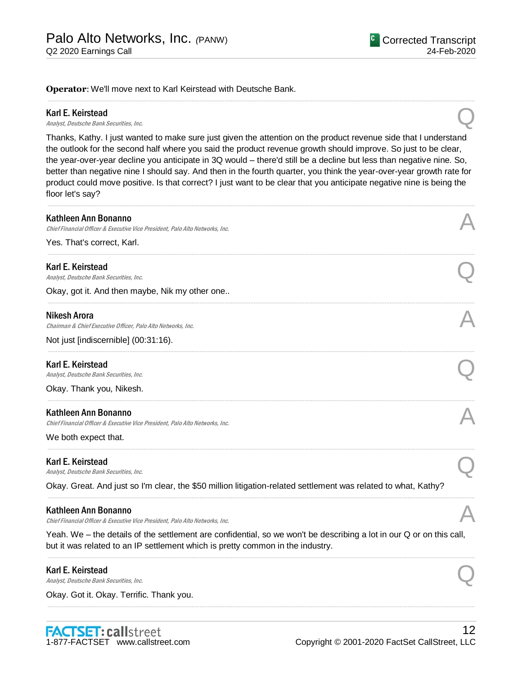**Operator**: We'll move next to Karl Keirstead with Deutsche Bank.

#### Karl E. Keirstead

**Karl E. Keirstead**<br>Analyst, Deutsche Bank Securities, Inc. Quality of the Control of the Bank Securities, Inc.

Thanks, Kathy. I just wanted to make sure just given the attention on the product revenue side that I understand the outlook for the second half where you said the product revenue growth should improve. So just to be clear, the year-over-year decline you anticipate in 3Q would – there'd still be a decline but less than negative nine. So, better than negative nine I should say. And then in the fourth quarter, you think the year-over-year growth rate for product could move positive. Is that correct? I just want to be clear that you anticipate negative nine is being the floor let's say?

.....................................................................................................................................................................................................................................................................

.....................................................................................................................................................................................................................................................................

| Kathleen Ann Bonanno<br>Chief Financial Officer & Executive Vice President, Palo Alto Networks, Inc.                                                                                                   |  |
|--------------------------------------------------------------------------------------------------------------------------------------------------------------------------------------------------------|--|
| Yes. That's correct, Karl.                                                                                                                                                                             |  |
| Karl E. Keirstead<br>Analyst, Deutsche Bank Securities, Inc.                                                                                                                                           |  |
| Okay, got it. And then maybe, Nik my other one                                                                                                                                                         |  |
| <b>Nikesh Arora</b><br>Chairman & Chief Executive Officer, Palo Alto Networks, Inc.                                                                                                                    |  |
| Not just [indiscernible] (00:31:16).                                                                                                                                                                   |  |
| Karl E. Keirstead<br>Analyst, Deutsche Bank Securities, Inc.                                                                                                                                           |  |
| Okay. Thank you, Nikesh.                                                                                                                                                                               |  |
| Kathleen Ann Bonanno<br>Chief Financial Officer & Executive Vice President, Palo Alto Networks, Inc.                                                                                                   |  |
| We both expect that.                                                                                                                                                                                   |  |
| Karl E. Keirstead<br>Analyst, Deutsche Bank Securities, Inc.                                                                                                                                           |  |
| Okay. Great. And just so I'm clear, the \$50 million litigation-related settlement was related to what, Kathy?                                                                                         |  |
| Kathleen Ann Bonanno<br>Chief Financial Officer & Executive Vice President, Palo Alto Networks, Inc.                                                                                                   |  |
| Yeah. We – the details of the settlement are confidential, so we won't be describing a lot in our Q or on this call,<br>but it was related to an IP settlement which is pretty common in the industry. |  |
| Karl E. Keirstead<br>Analyst, Deutsche Bank Securities, Inc.                                                                                                                                           |  |
| Okay. Got it. Okay. Terrific. Thank you.                                                                                                                                                               |  |

.....................................................................................................................................................................................................................................................................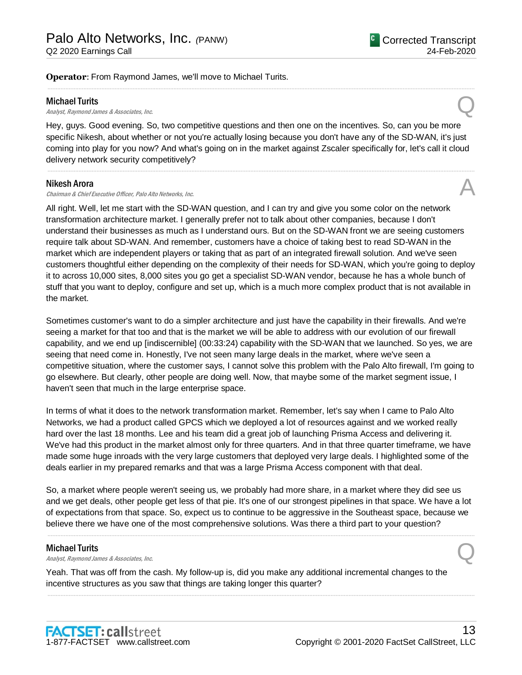**Operator**: From Raymond James, we'll move to Michael Turits.

#### Michael Turits

**Michael Turits**<br>Analyst, Raymond James & Associates, Inc.  $Q$ 

Hey, guys. Good evening. So, two competitive questions and then one on the incentives. So, can you be more specific Nikesh, about whether or not you're actually losing because you don't have any of the SD-WAN, it's just coming into play for you now? And what's going on in the market against Zscaler specifically for, let's call it cloud delivery network security competitively?

.....................................................................................................................................................................................................................................................................

.....................................................................................................................................................................................................................................................................

#### Nikesh Arora

Chairman & Chief Executive Officer, Palo Alto Networks, Inc.

All right. Well, let me start with the SD-WAN question, and I can try and give you some color on the network transformation architecture market. I generally prefer not to talk about other companies, because I don't understand their businesses as much as I understand ours. But on the SD-WAN front we are seeing customers require talk about SD-WAN. And remember, customers have a choice of taking best to read SD-WAN in the market which are independent players or taking that as part of an integrated firewall solution. And we've seen customers thoughtful either depending on the complexity of their needs for SD-WAN, which you're going to deploy it to across 10,000 sites, 8,000 sites you go get a specialist SD-WAN vendor, because he has a whole bunch of stuff that you want to deploy, configure and set up, which is a much more complex product that is not available in the market.

Sometimes customer's want to do a simpler architecture and just have the capability in their firewalls. And we're seeing a market for that too and that is the market we will be able to address with our evolution of our firewall capability, and we end up [indiscernible] (00:33:24) capability with the SD-WAN that we launched. So yes, we are seeing that need come in. Honestly, I've not seen many large deals in the market, where we've seen a competitive situation, where the customer says, I cannot solve this problem with the Palo Alto firewall, I'm going to go elsewhere. But clearly, other people are doing well. Now, that maybe some of the market segment issue, I haven't seen that much in the large enterprise space.

In terms of what it does to the network transformation market. Remember, let's say when I came to Palo Alto Networks, we had a product called GPCS which we deployed a lot of resources against and we worked really hard over the last 18 months. Lee and his team did a great job of launching Prisma Access and delivering it. We've had this product in the market almost only for three quarters. And in that three quarter timeframe, we have made some huge inroads with the very large customers that deployed very large deals. I highlighted some of the deals earlier in my prepared remarks and that was a large Prisma Access component with that deal.

So, a market where people weren't seeing us, we probably had more share, in a market where they did see us and we get deals, other people get less of that pie. It's one of our strongest pipelines in that space. We have a lot of expectations from that space. So, expect us to continue to be aggressive in the Southeast space, because we believe there we have one of the most comprehensive solutions. Was there a third part to your question?

.....................................................................................................................................................................................................................................................................

.....................................................................................................................................................................................................................................................................

#### Michael Turits

**Michael Turits**<br>Analyst, Raymond James & Associates, Inc.  $Q$ 

Yeah. That was off from the cash. My follow-up is, did you make any additional incremental changes to the incentive structures as you saw that things are taking longer this quarter?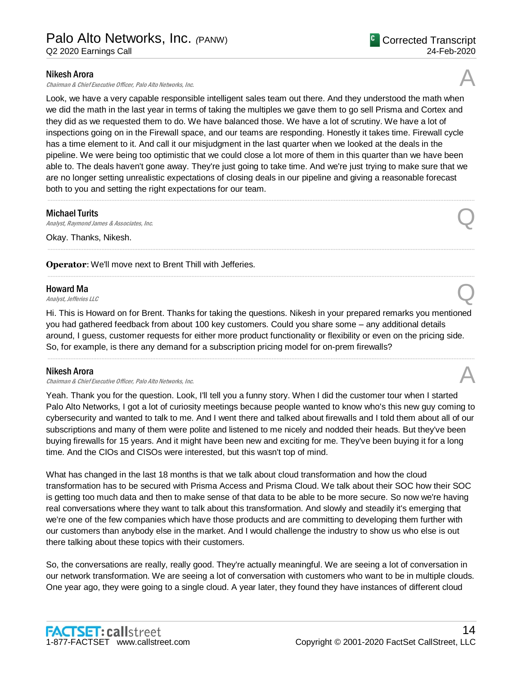### Nikesh Arora

Chairman & Chief Executive Officer, Palo Alto Networks, Inc.

Look, we have a very capable responsible intelligent sales team out there. And they understood the math when we did the math in the last year in terms of taking the multiples we gave them to go sell Prisma and Cortex and they did as we requested them to do. We have balanced those. We have a lot of scrutiny. We have a lot of inspections going on in the Firewall space, and our teams are responding. Honestly it takes time. Firewall cycle has a time element to it. And call it our misjudgment in the last quarter when we looked at the deals in the pipeline. We were being too optimistic that we could close a lot more of them in this quarter than we have been able to. The deals haven't gone away. They're just going to take time. And we're just trying to make sure that we are no longer setting unrealistic expectations of closing deals in our pipeline and giving a reasonable forecast both to you and setting the right expectations for our team.

.....................................................................................................................................................................................................................................................................

.....................................................................................................................................................................................................................................................................

.....................................................................................................................................................................................................................................................................

#### Michael Turits

**Michael Turits**<br>Analyst, Raymond James & Associates, Inc.  $Q$ 

Okay. Thanks, Nikesh.

**Operator:** We'll move next to Brent Thill with Jefferies.

## Howard Ma

**Howard Ma**<br>Analyst, Jefferies LLC

Hi. This is Howard on for Brent. Thanks for taking the questions. Nikesh in your prepared remarks you mentioned you had gathered feedback from about 100 key customers. Could you share some – any additional details around, I guess, customer requests for either more product functionality or flexibility or even on the pricing side. So, for example, is there any demand for a subscription pricing model for on-prem firewalls?

.....................................................................................................................................................................................................................................................................

## Nikesh Arora

Chairman & Chief Executive Officer, Palo Alto Networks, Inc.

Yeah. Thank you for the question. Look, I'll tell you a funny story. When I did the customer tour when I started Palo Alto Networks, I got a lot of curiosity meetings because people wanted to know who's this new guy coming to cybersecurity and wanted to talk to me. And I went there and talked about firewalls and I told them about all of our subscriptions and many of them were polite and listened to me nicely and nodded their heads. But they've been buying firewalls for 15 years. And it might have been new and exciting for me. They've been buying it for a long time. And the CIOs and CISOs were interested, but this wasn't top of mind.

What has changed in the last 18 months is that we talk about cloud transformation and how the cloud transformation has to be secured with Prisma Access and Prisma Cloud. We talk about their SOC how their SOC is getting too much data and then to make sense of that data to be able to be more secure. So now we're having real conversations where they want to talk about this transformation. And slowly and steadily it's emerging that we're one of the few companies which have those products and are committing to developing them further with our customers than anybody else in the market. And I would challenge the industry to show us who else is out there talking about these topics with their customers.

So, the conversations are really, really good. They're actually meaningful. We are seeing a lot of conversation in our network transformation. We are seeing a lot of conversation with customers who want to be in multiple clouds. One year ago, they were going to a single cloud. A year later, they found they have instances of different cloud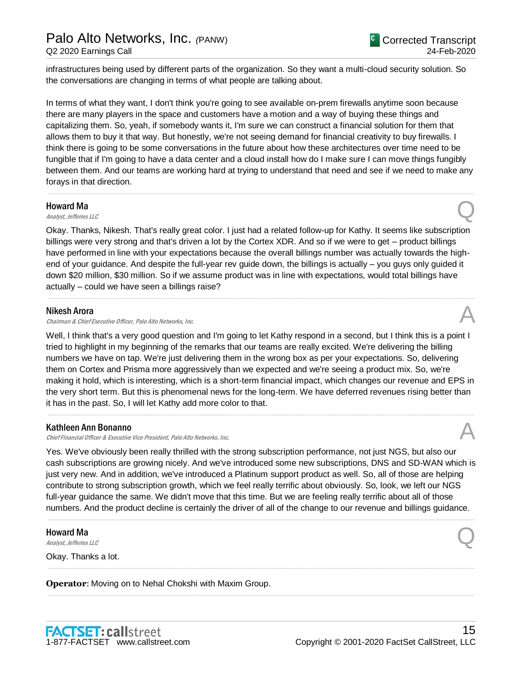infrastructures being used by different parts of the organization. So they want a multi-cloud security solution. So the conversations are changing in terms of what people are talking about.

In terms of what they want, I don't think you're going to see available on-prem firewalls anytime soon because there are many players in the space and customers have a motion and a way of buying these things and capitalizing them. So, yeah, if somebody wants it, I'm sure we can construct a financial solution for them that allows them to buy it that way. But honestly, we're not seeing demand for financial creativity to buy firewalls. I think there is going to be some conversations in the future about how these architectures over time need to be fungible that if I'm going to have a data center and a cloud install how do I make sure I can move things fungibly between them. And our teams are working hard at trying to understand that need and see if we need to make any forays in that direction.

.....................................................................................................................................................................................................................................................................

#### Howard Ma

**Howard Ma**<br>Analyst, Jefferies LLC

Okay. Thanks, Nikesh. That's really great color. I just had a related follow-up for Kathy. It seems like subscription billings were very strong and that's driven a lot by the Cortex XDR. And so if we were to get – product billings have performed in line with your expectations because the overall billings number was actually towards the highend of your guidance. And despite the full-year rev guide down, the billings is actually – you guys only guided it down \$20 million, \$30 million. So if we assume product was in line with expectations, would total billings have actually – could we have seen a billings raise?

.....................................................................................................................................................................................................................................................................

### Nikesh Arora

Chairman & Chief Executive Officer, Palo Alto Networks, Inc.

Well, I think that's a very good question and I'm going to let Kathy respond in a second, but I think this is a point I tried to highlight in my beginning of the remarks that our teams are really excited. We're delivering the billing numbers we have on tap. We're just delivering them in the wrong box as per your expectations. So, delivering them on Cortex and Prisma more aggressively than we expected and we're seeing a product mix. So, we're making it hold, which is interesting, which is a short-term financial impact, which changes our revenue and EPS in the very short term. But this is phenomenal news for the long-term. We have deferred revenues rising better than it has in the past. So, I will let Kathy add more color to that.

.....................................................................................................................................................................................................................................................................

## Kathleen Ann Bonanno

Chief Financial Officer & Executive Vice President, Palo Alto Networks, Inc. A

Yes. We've obviously been really thrilled with the strong subscription performance, not just NGS, but also our cash subscriptions are growing nicely. And we've introduced some new subscriptions, DNS and SD-WAN which is just very new. And in addition, we've introduced a Platinum support product as well. So, all of those are helping contribute to strong subscription growth, which we feel really terrific about obviously. So, look, we left our NGS full-year guidance the same. We didn't move that this time. But we are feeling really terrific about all of those numbers. And the product decline is certainly the driver of all of the change to our revenue and billings guidance.

.....................................................................................................................................................................................................................................................................

.....................................................................................................................................................................................................................................................................

.....................................................................................................................................................................................................................................................................

## Howard Ma

**Howard Ma**<br>Analyst, Jefferies LLC

Okay. Thanks a lot.

**Operator**: Moving on to Nehal Chokshi with Maxim Group.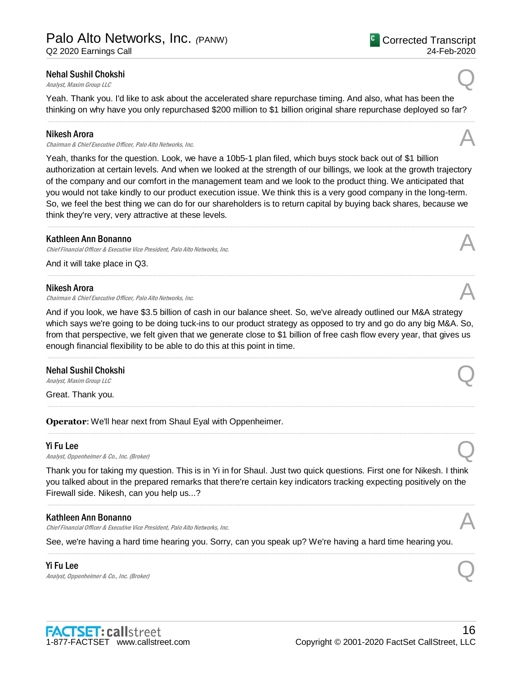## Nehal Sushil Chokshi Nehal Sushil Chokshi<br>Analyst, Maxim Group LLC

Yeah. Thank you. I'd like to ask about the accelerated share repurchase timing. And also, what has been the thinking on why have you only repurchased \$200 million to \$1 billion original share repurchase deployed so far?

### Nikesh Arora

Chairman & Chief Executive Officer, Palo Alto Networks, Inc.

Yeah, thanks for the question. Look, we have a 10b5-1 plan filed, which buys stock back out of \$1 billion authorization at certain levels. And when we looked at the strength of our billings, we look at the growth trajectory of the company and our comfort in the management team and we look to the product thing. We anticipated that you would not take kindly to our product execution issue. We think this is a very good company in the long-term. So, we feel the best thing we can do for our shareholders is to return capital by buying back shares, because we think they're very, very attractive at these levels.

.....................................................................................................................................................................................................................................................................

.....................................................................................................................................................................................................................................................................

#### Kathleen Ann Bonanno

Chief Financial Officer & Executive Vice President, Palo Alto Networks, Inc.

And it will take place in Q3.

#### Nikesh Arora

Chairman & Chief Executive Officer, Palo Alto Networks, Inc.

And if you look, we have \$3.5 billion of cash in our balance sheet. So, we've already outlined our M&A strategy which says we're going to be doing tuck-ins to our product strategy as opposed to try and go do any big M&A. So, from that perspective, we felt given that we generate close to \$1 billion of free cash flow every year, that gives us enough financial flexibility to be able to do this at this point in time.

.....................................................................................................................................................................................................................................................................

.....................................................................................................................................................................................................................................................................

.....................................................................................................................................................................................................................................................................

## Nehal Sushil Chokshi Nehal Sushil Chokshi<br>Analyst, Maxim Group LLC

Great. Thank you.

**Operator**: We'll hear next from Shaul Eyal with Oppenheimer.

## Yi Fu Lee

**Yi Fu Lee**<br>Analyst, Oppenheimer & Co., Inc. (Broker)  $Q$ 

Thank you for taking my question. This is in Yi in for Shaul. Just two quick questions. First one for Nikesh. I think you talked about in the prepared remarks that there're certain key indicators tracking expecting positively on the Firewall side. Nikesh, can you help us...?

## Kathleen Ann Bonanno

Chief Financial Officer & Executive Vice President, Palo Alto Networks, Inc.

See, we're having a hard time hearing you. Sorry, can you speak up? We're having a hard time hearing you.

.....................................................................................................................................................................................................................................................................

## Yi Fu Lee

**Yi Fu Lee**<br>Analyst, Oppenheimer & Co., Inc. (Broker)  $Q$ 









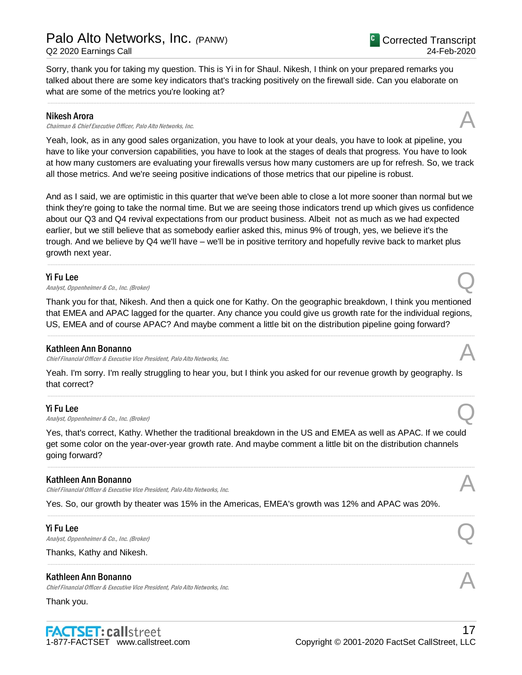Sorry, thank you for taking my question. This is Yi in for Shaul. Nikesh, I think on your prepared remarks you talked about there are some key indicators that's tracking positively on the firewall side. Can you elaborate on what are some of the metrics you're looking at?

.....................................................................................................................................................................................................................................................................

## Nikesh Arora

Chairman & Chief Executive Officer, Palo Alto Networks, Inc.

Yeah, look, as in any good sales organization, you have to look at your deals, you have to look at pipeline, you have to like your conversion capabilities, you have to look at the stages of deals that progress. You have to look at how many customers are evaluating your firewalls versus how many customers are up for refresh. So, we track all those metrics. And we're seeing positive indications of those metrics that our pipeline is robust.

And as I said, we are optimistic in this quarter that we've been able to close a lot more sooner than normal but we think they're going to take the normal time. But we are seeing those indicators trend up which gives us confidence about our Q3 and Q4 revival expectations from our product business. Albeit not as much as we had expected earlier, but we still believe that as somebody earlier asked this, minus 9% of trough, yes, we believe it's the trough. And we believe by Q4 we'll have – we'll be in positive territory and hopefully revive back to market plus growth next year.

.....................................................................................................................................................................................................................................................................

## Yi Fu Lee

**Yi Fu Lee**<br>Analyst, Oppenheimer & Co., Inc. (Broker)  $Q$ 

Thank you for that, Nikesh. And then a quick one for Kathy. On the geographic breakdown, I think you mentioned that EMEA and APAC lagged for the quarter. Any chance you could give us growth rate for the individual regions, US, EMEA and of course APAC? And maybe comment a little bit on the distribution pipeline going forward?

.....................................................................................................................................................................................................................................................................

## Kathleen Ann Bonanno

Chief Financial Officer & Executive Vice President, Palo Alto Networks, Inc.

Yeah. I'm sorry. I'm really struggling to hear you, but I think you asked for our revenue growth by geography. Is that correct?

.....................................................................................................................................................................................................................................................................

## Yi Fu Lee

**Yi Fu Lee**<br>Analyst, Oppenheimer & Co., Inc. (Broker)  $Q$ 

Yes, that's correct, Kathy. Whether the traditional breakdown in the US and EMEA as well as APAC. If we could get some color on the year-over-year growth rate. And maybe comment a little bit on the distribution channels going forward?

.....................................................................................................................................................................................................................................................................

.....................................................................................................................................................................................................................................................................

## Kathleen Ann Bonanno

Chief Financial Officer & Executive Vice President, Palo Alto Networks, Inc.

Yes. So, our growth by theater was 15% in the Americas, EMEA's growth was 12% and APAC was 20%.

## Yi Fu Lee

**Yi Fu Lee**<br>Analyst, Oppenheimer & Co., Inc. (Broker)  $Q$ 

Thanks, Kathy and Nikesh.

## Kathleen Ann Bonanno

Chief Financial Officer & Executive Vice President, Palo Alto Networks, Inc.

## Thank you.







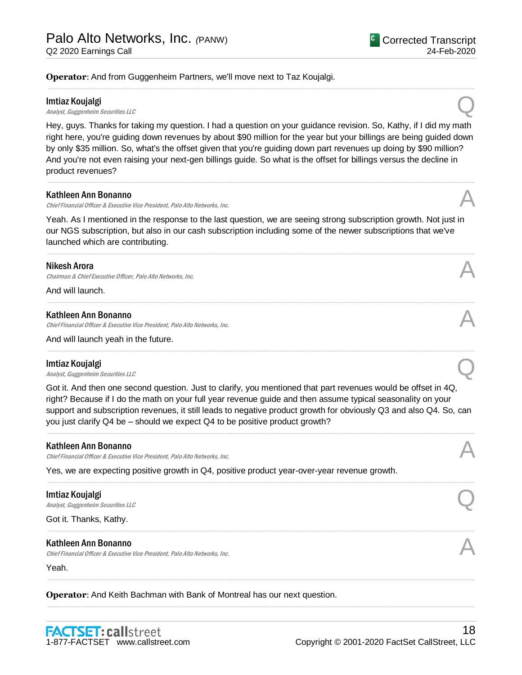**Operator**: And from Guggenheim Partners, we'll move next to Taz Koujalgi.

#### Imtiaz Koujalgi

**Imtiaz Koujalgi**<br>Analyst, Guggenheim Securities LLC

Hey, guys. Thanks for taking my question. I had a question on your guidance revision. So, Kathy, if I did my math right here, you're guiding down revenues by about \$90 million for the year but your billings are being guided down by only \$35 million. So, what's the offset given that you're guiding down part revenues up doing by \$90 million? And you're not even raising your next-gen billings guide. So what is the offset for billings versus the decline in product revenues?

.....................................................................................................................................................................................................................................................................

.....................................................................................................................................................................................................................................................................

#### Kathleen Ann Bonanno

Chief Financial Officer & Executive Vice President, Palo Alto Networks, Inc.

Yeah. As I mentioned in the response to the last question, we are seeing strong subscription growth. Not just in our NGS subscription, but also in our cash subscription including some of the newer subscriptions that we've launched which are contributing.

.....................................................................................................................................................................................................................................................................

.....................................................................................................................................................................................................................................................................

.....................................................................................................................................................................................................................................................................

#### Nikesh Arora

Chairman & Chief Executive Officer, Palo Alto Networks, Inc.

And will launch.

#### Kathleen Ann Bonanno

Chief Financial Officer & Executive Vice President, Palo Alto Networks, Inc. A

And will launch yeah in the future.

#### Imtiaz Koujalgi

**Imtiaz Koujalgi**<br>Analyst, Guggenheim Securities LLC

Got it. And then one second question. Just to clarify, you mentioned that part revenues would be offset in 4Q, right? Because if I do the math on your full year revenue guide and then assume typical seasonality on your support and subscription revenues, it still leads to negative product growth for obviously Q3 and also Q4. So, can you just clarify Q4 be – should we expect Q4 to be positive product growth?

.....................................................................................................................................................................................................................................................................

.....................................................................................................................................................................................................................................................................

.....................................................................................................................................................................................................................................................................

.....................................................................................................................................................................................................................................................................

.....................................................................................................................................................................................................................................................................

#### Kathleen Ann Bonanno

Chief Financial Officer & Executive Vice President, Palo Alto Networks, Inc.

Yes, we are expecting positive growth in Q4, positive product year-over-year revenue growth.

#### Imtiaz Koujalgi

**Imtiaz Koujalgi**<br>Analyst, Guggenheim Securities LLC

Got it. Thanks, Kathy.

#### Kathleen Ann Bonanno

Chief Financial Officer & Executive Vice President, Palo Alto Networks, Inc.

Yeah.

**Operator**: And Keith Bachman with Bank of Montreal has our next question.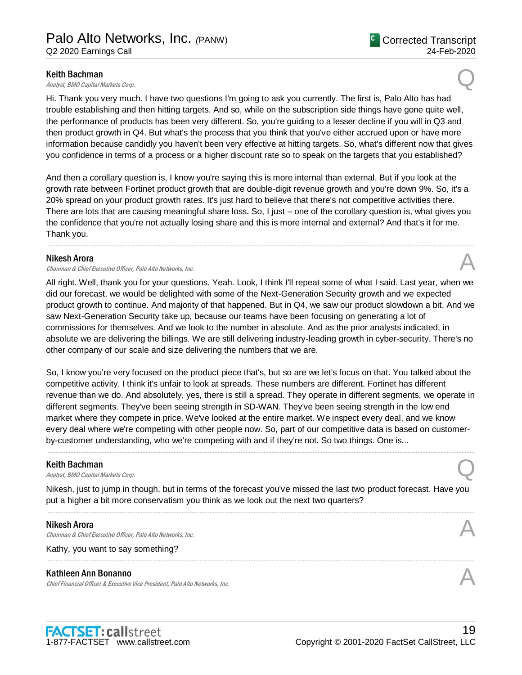**Keith Bachman**<br>Analyst, BMO Capital Markets Corp.  $Q$ 

Hi. Thank you very much. I have two questions I'm going to ask you currently. The first is, Palo Alto has had trouble establishing and then hitting targets. And so, while on the subscription side things have gone quite well, the performance of products has been very different. So, you're guiding to a lesser decline if you will in Q3 and then product growth in Q4. But what's the process that you think that you've either accrued upon or have more information because candidly you haven't been very effective at hitting targets. So, what's different now that gives you confidence in terms of a process or a higher discount rate so to speak on the targets that you established?

And then a corollary question is, I know you're saying this is more internal than external. But if you look at the growth rate between Fortinet product growth that are double-digit revenue growth and you're down 9%. So, it's a 20% spread on your product growth rates. It's just hard to believe that there's not competitive activities there. There are lots that are causing meaningful share loss. So, I just – one of the corollary question is, what gives you the confidence that you're not actually losing share and this is more internal and external? And that's it for me. Thank you.

.....................................................................................................................................................................................................................................................................

## Nikesh Arora

Chairman & Chief Executive Officer, Palo Alto Networks, Inc.

All right. Well, thank you for your questions. Yeah. Look, I think I'll repeat some of what I said. Last year, when we did our forecast, we would be delighted with some of the Next-Generation Security growth and we expected product growth to continue. And majority of that happened. But in Q4, we saw our product slowdown a bit. And we saw Next-Generation Security take up, because our teams have been focusing on generating a lot of commissions for themselves. And we look to the number in absolute. And as the prior analysts indicated, in absolute we are delivering the billings. We are still delivering industry-leading growth in cyber-security. There's no other company of our scale and size delivering the numbers that we are.

So, I know you're very focused on the product piece that's, but so are we let's focus on that. You talked about the competitive activity. I think it's unfair to look at spreads. These numbers are different. Fortinet has different revenue than we do. And absolutely, yes, there is still a spread. They operate in different segments, we operate in different segments. They've been seeing strength in SD-WAN. They've been seeing strength in the low end market where they compete in price. We've looked at the entire market. We inspect every deal, and we know every deal where we're competing with other people now. So, part of our competitive data is based on customerby-customer understanding, who we're competing with and if they're not. So two things. One is...

.....................................................................................................................................................................................................................................................................

#### Keith Bachman

**Keith Bachman**<br>Analyst, BMO Capital Markets Corp.  $Q$ 

Nikesh, just to jump in though, but in terms of the forecast you've missed the last two product forecast. Have you put a higher a bit more conservatism you think as we look out the next two quarters?

.....................................................................................................................................................................................................................................................................

.....................................................................................................................................................................................................................................................................

#### Nikesh Arora

Chairman & Chief Executive Officer, Palo Alto Networks, Inc.

Kathy, you want to say something?

## Kathleen Ann Bonanno

Chief Financial Officer & Executive Vice President, Palo Alto Networks, Inc.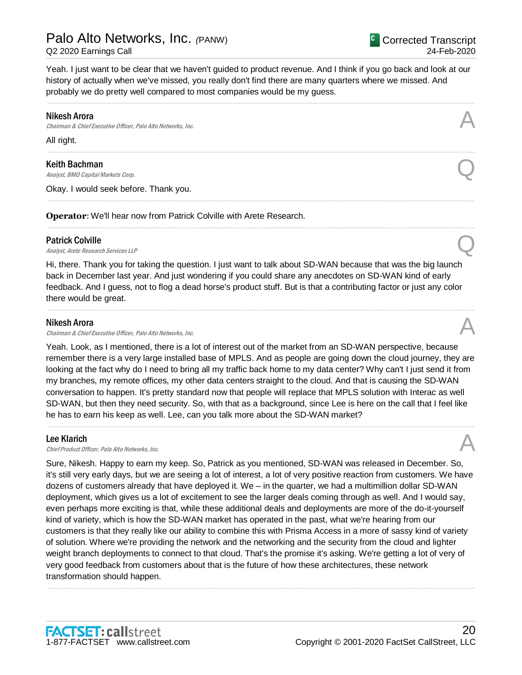20

Yeah. I just want to be clear that we haven't guided to product revenue. And I think if you go back and look at our history of actually when we've missed, you really don't find there are many quarters where we missed. And probably we do pretty well compared to most companies would be my guess.

.....................................................................................................................................................................................................................................................................

.....................................................................................................................................................................................................................................................................

.....................................................................................................................................................................................................................................................................

.....................................................................................................................................................................................................................................................................

### Nikesh Arora

Chairman & Chief Executive Officer, Palo Alto Networks, Inc.

All right.

Keith Bachman

**Keith Bachman**<br>Analyst, BMO Capital Markets Corp.  $Q$ 

Okay. I would seek before. Thank you.

**Operator**: We'll hear now from Patrick Colville with Arete Research.

#### Patrick Colville

**Patrick Colville**<br>Analyst, Arete Research Services LLP

Hi, there. Thank you for taking the question. I just want to talk about SD-WAN because that was the big launch back in December last year. And just wondering if you could share any anecdotes on SD-WAN kind of early feedback. And I guess, not to flog a dead horse's product stuff. But is that a contributing factor or just any color there would be great.

.....................................................................................................................................................................................................................................................................

### Nikesh Arora

Chairman & Chief Executive Officer, Palo Alto Networks, Inc.

Yeah. Look, as I mentioned, there is a lot of interest out of the market from an SD-WAN perspective, because remember there is a very large installed base of MPLS. And as people are going down the cloud journey, they are looking at the fact why do I need to bring all my traffic back home to my data center? Why can't I just send it from my branches, my remote offices, my other data centers straight to the cloud. And that is causing the SD-WAN conversation to happen. It's pretty standard now that people will replace that MPLS solution with Interac as well SD-WAN, but then they need security. So, with that as a background, since Lee is here on the call that I feel like he has to earn his keep as well. Lee, can you talk more about the SD-WAN market?

.....................................................................................................................................................................................................................................................................

## Lee Klarich

**Lee Klarich**<br>Chief Product Officer, Palo Alto Networks, Inc.

Sure, Nikesh. Happy to earn my keep. So, Patrick as you mentioned, SD-WAN was released in December. So, it's still very early days, but we are seeing a lot of interest, a lot of very positive reaction from customers. We have dozens of customers already that have deployed it. We – in the quarter, we had a multimillion dollar SD-WAN deployment, which gives us a lot of excitement to see the larger deals coming through as well. And I would say, even perhaps more exciting is that, while these additional deals and deployments are more of the do-it-yourself kind of variety, which is how the SD-WAN market has operated in the past, what we're hearing from our customers is that they really like our ability to combine this with Prisma Access in a more of sassy kind of variety of solution. Where we're providing the network and the networking and the security from the cloud and lighter weight branch deployments to connect to that cloud. That's the promise it's asking. We're getting a lot of very of very good feedback from customers about that is the future of how these architectures, these network transformation should happen.

.....................................................................................................................................................................................................................................................................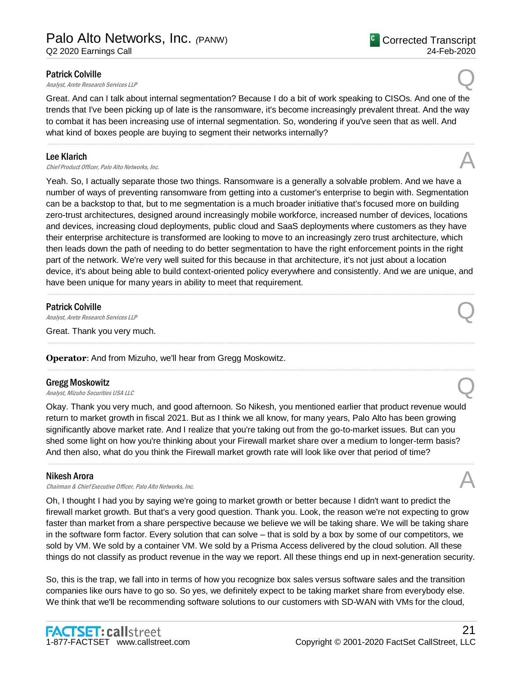### Patrick Colville

**Patrick Colville**<br>Analyst, Arete Research Services LLP

Great. And can I talk about internal segmentation? Because I do a bit of work speaking to CISOs. And one of the trends that I've been picking up of late is the ransomware, it's become increasingly prevalent threat. And the way to combat it has been increasing use of internal segmentation. So, wondering if you've seen that as well. And what kind of boxes people are buying to segment their networks internally?

.....................................................................................................................................................................................................................................................................

#### Lee Klarich

**Lee Klarich**<br>Chief Product Officer, Palo Alto Networks, Inc.  $\mathcal{A}$ 

Yeah. So, I actually separate those two things. Ransomware is a generally a solvable problem. And we have a number of ways of preventing ransomware from getting into a customer's enterprise to begin with. Segmentation can be a backstop to that, but to me segmentation is a much broader initiative that's focused more on building zero-trust architectures, designed around increasingly mobile workforce, increased number of devices, locations and devices, increasing cloud deployments, public cloud and SaaS deployments where customers as they have their enterprise architecture is transformed are looking to move to an increasingly zero trust architecture, which then leads down the path of needing to do better segmentation to have the right enforcement points in the right part of the network. We're very well suited for this because in that architecture, it's not just about a location device, it's about being able to build context-oriented policy everywhere and consistently. And we are unique, and have been unique for many years in ability to meet that requirement.

.....................................................................................................................................................................................................................................................................

.....................................................................................................................................................................................................................................................................

## Patrick Colville

**Patrick Colville**<br>Analyst, Arete Research Services LLP

Great. Thank you very much.

**Operator**: And from Mizuho, we'll hear from Gregg Moskowitz.

#### Gregg Moskowitz

Gregg Moskowitz<br>Analyst, Mizuho Securities USA LLC

Okay. Thank you very much, and good afternoon. So Nikesh, you mentioned earlier that product revenue would return to market growth in fiscal 2021. But as I think we all know, for many years, Palo Alto has been growing significantly above market rate. And I realize that you're taking out from the go-to-market issues. But can you shed some light on how you're thinking about your Firewall market share over a medium to longer-term basis? And then also, what do you think the Firewall market growth rate will look like over that period of time?

.....................................................................................................................................................................................................................................................................

#### Nikesh Arora

Chairman & Chief Executive Officer, Palo Alto Networks, Inc.

Oh, I thought I had you by saying we're going to market growth or better because I didn't want to predict the firewall market growth. But that's a very good question. Thank you. Look, the reason we're not expecting to grow faster than market from a share perspective because we believe we will be taking share. We will be taking share in the software form factor. Every solution that can solve – that is sold by a box by some of our competitors, we sold by VM. We sold by a container VM. We sold by a Prisma Access delivered by the cloud solution. All these things do not classify as product revenue in the way we report. All these things end up in next-generation security.

So, this is the trap, we fall into in terms of how you recognize box sales versus software sales and the transition companies like ours have to go so. So yes, we definitely expect to be taking market share from everybody else. We think that we'll be recommending software solutions to our customers with SD-WAN with VMs for the cloud,



# .....................................................................................................................................................................................................................................................................

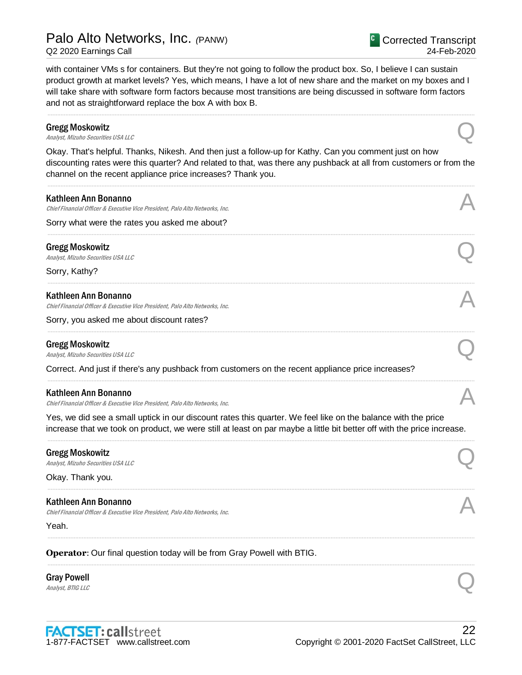with container VMs s for containers. But they're not going to follow the product box. So, I believe I can sustain product growth at market levels? Yes, which means, I have a lot of new share and the market on my boxes and I will take share with software form factors because most transitions are being discussed in software form factors and not as straightforward replace the box A with box B.

## ..................................................................................................................................................................................................................................................................... Gregg Moskowitz Gregg Moskowitz<br>Analyst, Mizuho Securities USA LLC Okay. That's helpful. Thanks, Nikesh. And then just a follow-up for Kathy. Can you comment just on how discounting rates were this quarter? And related to that, was there any pushback at all from customers or from the channel on the recent appliance price increases? Thank you. ..................................................................................................................................................................................................................................................................... Kathleen Ann Bonanno Chief Financial Officer & Executive Vice President, Palo Alto Networks, Inc. A Sorry what were the rates you asked me about? ..................................................................................................................................................................................................................................................................... Gregg Moskowitz Gregg Moskowitz<br>Analyst, Mizuho Securities USA LLC Sorry, Kathy? ..................................................................................................................................................................................................................................................................... Kathleen Ann Bonanno Chief Financial Officer & Executive Vice President, Palo Alto Networks, Inc. Sorry, you asked me about discount rates? ..................................................................................................................................................................................................................................................................... Gregg Moskowitz Gregg Moskowitz<br>Analyst, Mizuho Securities USA LLC Correct. And just if there's any pushback from customers on the recent appliance price increases? ..................................................................................................................................................................................................................................................................... Kathleen Ann Bonanno Chief Financial Officer & Executive Vice President, Palo Alto Networks, Inc. Yes, we did see a small uptick in our discount rates this quarter. We feel like on the balance with the price increase that we took on product, we were still at least on par maybe a little bit better off with the price increase. ..................................................................................................................................................................................................................................................................... Gregg Moskowitz Gregg Moskowitz<br>Analyst, Mizuho Securities USA LLC Okay. Thank you. ..................................................................................................................................................................................................................................................................... Kathleen Ann Bonanno

.....................................................................................................................................................................................................................................................................

.....................................................................................................................................................................................................................................................................

Chief Financial Officer & Executive Vice President, Palo Alto Networks, Inc. A

Yeah.

**Operator**: Our final question today will be from Gray Powell with BTIG.

## Gray Powell Gray Powell  $\bigotimes$  *Analyst, BTIG LLC*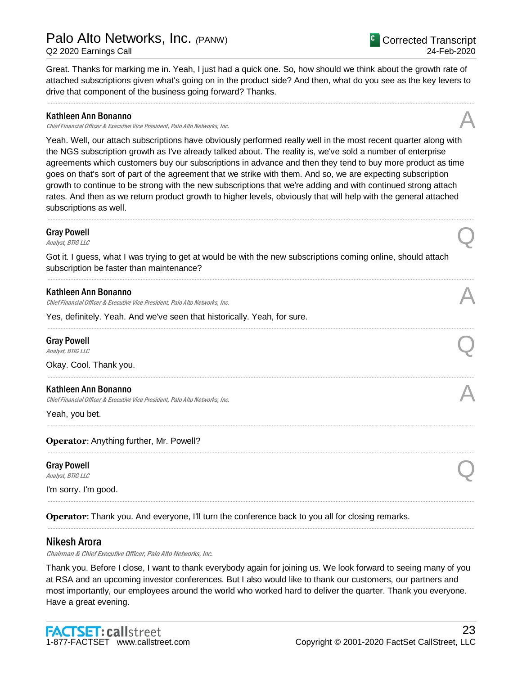## Palo Alto Networks, Inc. *(*PANW)

Q2 2020 Earnings Call

Great. Thanks for marking me in. Yeah, I just had a quick one. So, how should we think about the growth rate of attached subscriptions given what's going on in the product side? And then, what do you see as the key levers to drive that component of the business going forward? Thanks.

.....................................................................................................................................................................................................................................................................

## Kathleen Ann Bonanno

Chief Financial Officer & Executive Vice President, Palo Alto Networks, Inc.

Yeah. Well, our attach subscriptions have obviously performed really well in the most recent quarter along with the NGS subscription growth as I've already talked about. The reality is, we've sold a number of enterprise agreements which customers buy our subscriptions in advance and then they tend to buy more product as time goes on that's sort of part of the agreement that we strike with them. And so, we are expecting subscription growth to continue to be strong with the new subscriptions that we're adding and with continued strong attach rates. And then as we return product growth to higher levels, obviously that will help with the general attached subscriptions as well.

.....................................................................................................................................................................................................................................................................

## Gray Powell Gray Powell  $\bigotimes$  *Analyst, BTIG LLC*

Got it. I guess, what I was trying to get at would be with the new subscriptions coming online, should attach subscription be faster than maintenance?

I'm sorry. I'm good.

**Operator**: Thank you. And everyone, I'll turn the conference back to you all for closing remarks.

## Nikesh Arora

Chairman & Chief Executive Officer, Palo Alto Networks, Inc.

Thank you. Before I close, I want to thank everybody again for joining us. We look forward to seeing many of you at RSA and an upcoming investor conferences. But I also would like to thank our customers, our partners and most importantly, our employees around the world who worked hard to deliver the quarter. Thank you everyone. Have a great evening.

.....................................................................................................................................................................................................................................................................

.....................................................................................................................................................................................................................................................................